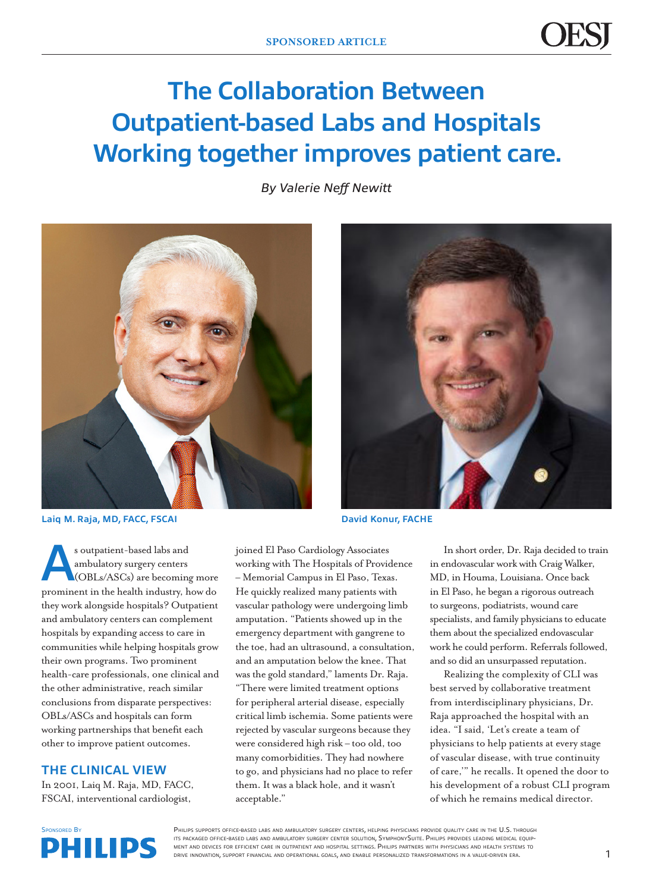# **The Collaboration Between Outpatient-based Labs and Hospitals Working together improves patient care.**

*By Valerie Neff Newitt*



**Laiq M. Raja, MD, FACC, FSCAI David Konur, FACHE**

s outpatient-based labs and<br>
ambulatory surgery centers<br>
(OBLs/ASCs) are becoming more ambulatory surgery centers prominent in the health industry, how do they work alongside hospitals? Outpatient and ambulatory centers can complement hospitals by expanding access to care in communities while helping hospitals grow their own programs. Two prominent health-care professionals, one clinical and the other administrative, reach similar conclusions from disparate perspectives: OBLs/ASCs and hospitals can form working partnerships that benefit each other to improve patient outcomes.

### **THE CLINICAL VIEW**

In 2001, Laiq M. Raja, MD, FACC, FSCAI, interventional cardiologist,



joined El Paso Cardiology Associates working with The Hospitals of Providence – Memorial Campus in El Paso, Texas. He quickly realized many patients with vascular pathology were undergoing limb amputation. "Patients showed up in the emergency department with gangrene to the toe, had an ultrasound, a consultation, and an amputation below the knee. That was the gold standard," laments Dr. Raja. "There were limited treatment options for peripheral arterial disease, especially critical limb ischemia. Some patients were rejected by vascular surgeons because they were considered high risk – too old, too many comorbidities. They had nowhere to go, and physicians had no place to refer them. It was a black hole, and it wasn't acceptable."

In short order, Dr. Raja decided to train in endovascular work with Craig Walker, MD, in Houma, Louisiana. Once back in El Paso, he began a rigorous outreach to surgeons, podiatrists, wound care specialists, and family physicians to educate them about the specialized endovascular work he could perform. Referrals followed, and so did an unsurpassed reputation.

Realizing the complexity of CLI was best served by collaborative treatment from interdisciplinary physicians, Dr. Raja approached the hospital with an idea. "I said, 'Let's create a team of physicians to help patients at every stage of vascular disease, with true continuity of care,'" he recalls. It opened the door to his development of a robust CLI program of which he remains medical director.



PHILIPS SUPPORTS OFFICE-BASED LABS AND AMBULATORY SURGERY CENTERS, HELPING PHYSICIANS PROVIDE QUALITY CARE IN THE U.S. THROUGH its packaged office-based labs and ambulatory surgery center solution, SymphonySuite. Philips provides leading medical equipment and devices for efficient care in outpatient and hospital settings. Philips partners with physicians and health systems to drive innovation, support financial and operational goals, and enable personalized transformations in <sup>a</sup> value-driven era.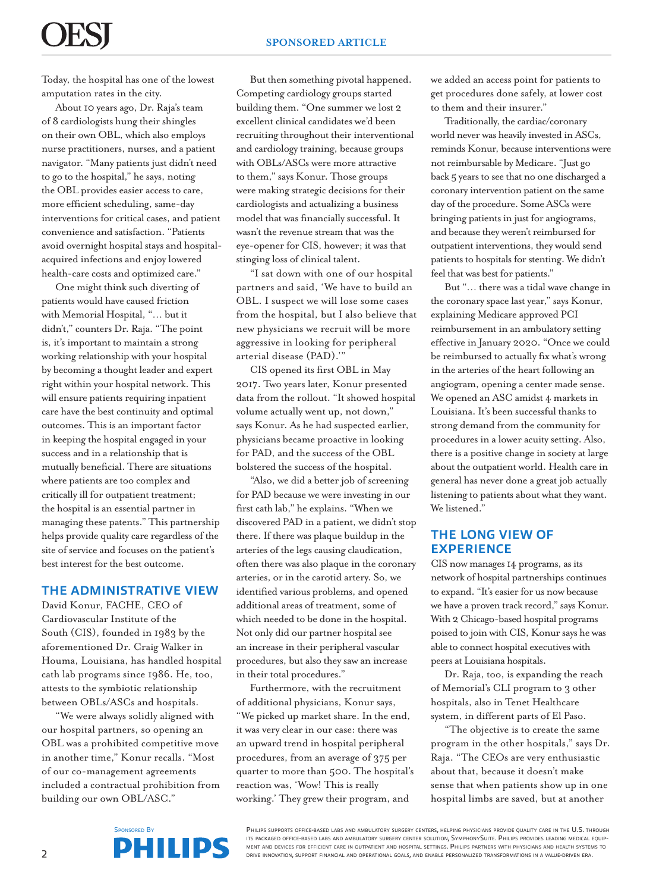Today, the hospital has one of the lowest amputation rates in the city.

About 10 years ago, Dr. Raja's team of 8 cardiologists hung their shingles on their own OBL, which also employs nurse practitioners, nurses, and a patient navigator. "Many patients just didn't need to go to the hospital," he says, noting the OBL provides easier access to care, more efficient scheduling, same-day interventions for critical cases, and patient convenience and satisfaction. "Patients avoid overnight hospital stays and hospitalacquired infections and enjoy lowered health-care costs and optimized care."

One might think such diverting of patients would have caused friction with Memorial Hospital, "… but it didn't," counters Dr. Raja. "The point is, it's important to maintain a strong working relationship with your hospital by becoming a thought leader and expert right within your hospital network. This will ensure patients requiring inpatient care have the best continuity and optimal outcomes. This is an important factor in keeping the hospital engaged in your success and in a relationship that is mutually beneficial. There are situations where patients are too complex and critically ill for outpatient treatment; the hospital is an essential partner in managing these patents." This partnership helps provide quality care regardless of the site of service and focuses on the patient's best interest for the best outcome.

## **THE ADMINISTRATIVE VIEW**

David Konur, FACHE, CEO of Cardiovascular Institute of the South (CIS), founded in 1983 by the aforementioned Dr. Craig Walker in Houma, Louisiana, has handled hospital cath lab programs since 1986. He, too, attests to the symbiotic relationship between OBLs/ASCs and hospitals.

"We were always solidly aligned with our hospital partners, so opening an OBL was a prohibited competitive move in another time," Konur recalls. "Most of our co-management agreements included a contractual prohibition from building our own OBL/ASC."

But then something pivotal happened. Competing cardiology groups started building them. "One summer we lost 2 excellent clinical candidates we'd been recruiting throughout their interventional and cardiology training, because groups with OBLs/ASCs were more attractive to them," says Konur. Those groups were making strategic decisions for their cardiologists and actualizing a business model that was financially successful. It wasn't the revenue stream that was the eye-opener for CIS, however; it was that stinging loss of clinical talent.

"I sat down with one of our hospital partners and said, 'We have to build an OBL. I suspect we will lose some cases from the hospital, but I also believe that new physicians we recruit will be more aggressive in looking for peripheral arterial disease (PAD).'"

CIS opened its first OBL in May 2017. Two years later, Konur presented data from the rollout. "It showed hospital volume actually went up, not down," says Konur. As he had suspected earlier, physicians became proactive in looking for PAD, and the success of the OBL bolstered the success of the hospital.

"Also, we did a better job of screening for PAD because we were investing in our first cath lab," he explains. "When we discovered PAD in a patient, we didn't stop there. If there was plaque buildup in the arteries of the legs causing claudication, often there was also plaque in the coronary arteries, or in the carotid artery. So, we identified various problems, and opened additional areas of treatment, some of which needed to be done in the hospital. Not only did our partner hospital see an increase in their peripheral vascular procedures, but also they saw an increase in their total procedures."

Furthermore, with the recruitment of additional physicians, Konur says, "We picked up market share. In the end, it was very clear in our case: there was an upward trend in hospital peripheral procedures, from an average of 375 per quarter to more than 500. The hospital's reaction was, 'Wow! This is really working.' They grew their program, and

we added an access point for patients to get procedures done safely, at lower cost to them and their insurer."

Traditionally, the cardiac/coronary world never was heavily invested in ASCs, reminds Konur, because interventions were not reimbursable by Medicare. "Just go back 5 years to see that no one discharged a coronary intervention patient on the same day of the procedure. Some ASCs were bringing patients in just for angiograms, and because they weren't reimbursed for outpatient interventions, they would send patients to hospitals for stenting. We didn't feel that was best for patients."

But "… there was a tidal wave change in the coronary space last year," says Konur, explaining Medicare approved PCI reimbursement in an ambulatory setting effective in January 2020. "Once we could be reimbursed to actually fix what's wrong in the arteries of the heart following an angiogram, opening a center made sense. We opened an ASC amidst 4 markets in Louisiana. It's been successful thanks to strong demand from the community for procedures in a lower acuity setting. Also, there is a positive change in society at large about the outpatient world. Health care in general has never done a great job actually listening to patients about what they want. We listened."

### **THE LONG VIEW OF EXPERIENCE**

CIS now manages 14 programs, as its network of hospital partnerships continues to expand. "It's easier for us now because we have a proven track record," says Konur. With 2 Chicago-based hospital programs poised to join with CIS, Konur says he was able to connect hospital executives with peers at Louisiana hospitals.

Dr. Raja, too, is expanding the reach of Memorial's CLI program to 3 other hospitals, also in Tenet Healthcare system, in different parts of El Paso.

"The objective is to create the same program in the other hospitals," says Dr. Raja. "The CEOs are very enthusiastic about that, because it doesn't make sense that when patients show up in one hospital limbs are saved, but at another

PHILIPS SUPPORTS OFFICE-BASED LABS AND AMBULATORY SURGERY CENTERS, HELPING PHYSICIANS PROVIDE QUALITY CARE IN THE U.S. THROUGH its packaged office-based labs and ambulatory surgery center solution, SymphonySuite. Philips provides leading medical equipment and devices for efficient care in outpatient and hospital settings. Philips partners with physicians and health systems to drive innovation, support financial and operational goals, and enable personalized transformations in <sup>a</sup> value-driven era.